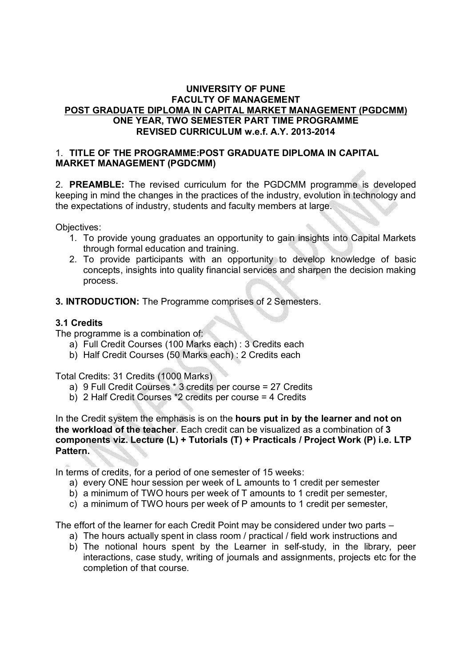### **UNIVERSITY OF PUNE FACULTY OF MANAGEMENT POST GRADUATE DIPLOMA IN CAPITAL MARKET MANAGEMENT (PGDCMM) ONE YEAR, TWO SEMESTER PART TIME PROGRAMME REVISED CURRICULUM w.e.f. A.Y. 2013-2014**

### 1. **TITLE OF THE PROGRAMME:POST GRADUATE DIPLOMA IN CAPITAL MARKET MANAGEMENT (PGDCMM)**

2. **PREAMBLE:** The revised curriculum for the PGDCMM programme is developed keeping in mind the changes in the practices of the industry, evolution in technology and the expectations of industry, students and faculty members at large.

Objectives:

- 1. To provide young graduates an opportunity to gain insights into Capital Markets through formal education and training.
- 2. To provide participants with an opportunity to develop knowledge of basic concepts, insights into quality financial services and sharpen the decision making process.
- **3. INTRODUCTION:** The Programme comprises of 2 Semesters.

### **3.1 Credits**

The programme is a combination of:

- a) Full Credit Courses (100 Marks each) : 3 Credits each
- b) Half Credit Courses (50 Marks each) : 2 Credits each

Total Credits: 31 Credits (1000 Marks)

- a) 9 Full Credit Courses \* 3 credits per course = 27 Credits
- b) 2 Half Credit Courses \*2 credits per course = 4 Credits

In the Credit system the emphasis is on the **hours put in by the learner and not on the workload of the teacher**. Each credit can be visualized as a combination of **3 components viz. Lecture (L) + Tutorials (T) + Practicals / Project Work (P) i.e. LTP Pattern.** 

In terms of credits, for a period of one semester of 15 weeks:

- a) every ONE hour session per week of L amounts to 1 credit per semester
- b) a minimum of TWO hours per week of T amounts to 1 credit per semester,
- c) a minimum of TWO hours per week of P amounts to 1 credit per semester,

The effort of the learner for each Credit Point may be considered under two parts –

- a) The hours actually spent in class room / practical / field work instructions and
- b) The notional hours spent by the Learner in self-study, in the library, peer interactions, case study, writing of journals and assignments, projects etc for the completion of that course.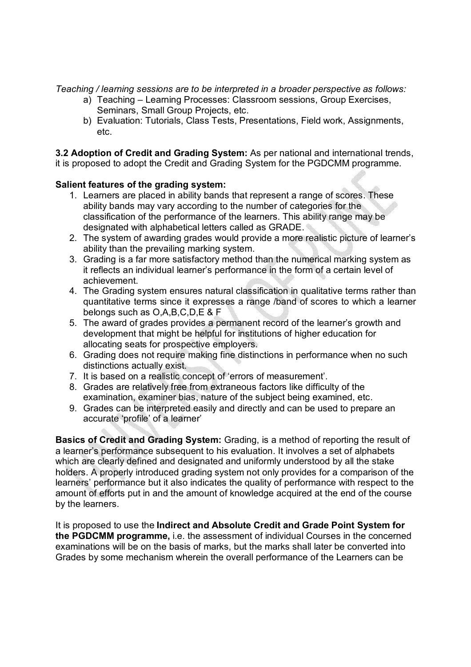*Teaching / learning sessions are to be interpreted in a broader perspective as follows:* 

- a) Teaching Learning Processes: Classroom sessions, Group Exercises, Seminars, Small Group Projects, etc.
- b) Evaluation: Tutorials, Class Tests, Presentations, Field work, Assignments, etc.

**3.2 Adoption of Credit and Grading System:** As per national and international trends, it is proposed to adopt the Credit and Grading System for the PGDCMM programme.

### **Salient features of the grading system:**

- 1. Learners are placed in ability bands that represent a range of scores. These ability bands may vary according to the number of categories for the classification of the performance of the learners. This ability range may be designated with alphabetical letters called as GRADE.
- 2. The system of awarding grades would provide a more realistic picture of learner's ability than the prevailing marking system.
- 3. Grading is a far more satisfactory method than the numerical marking system as it reflects an individual learner's performance in the form of a certain level of achievement.
- 4. The Grading system ensures natural classification in qualitative terms rather than quantitative terms since it expresses a range /band of scores to which a learner belongs such as O,A,B,C,D,E & F
- 5. The award of grades provides a permanent record of the learner's growth and development that might be helpful for institutions of higher education for allocating seats for prospective employers.
- 6. Grading does not require making fine distinctions in performance when no such distinctions actually exist.
- 7. It is based on a realistic concept of 'errors of measurement'.
- 8. Grades are relatively free from extraneous factors like difficulty of the examination, examiner bias, nature of the subject being examined, etc.
- 9. Grades can be interpreted easily and directly and can be used to prepare an accurate 'profile' of a learner'

**Basics of Credit and Grading System:** Grading, is a method of reporting the result of a learner's performance subsequent to his evaluation. It involves a set of alphabets which are clearly defined and designated and uniformly understood by all the stake holders. A properly introduced grading system not only provides for a comparison of the learners' performance but it also indicates the quality of performance with respect to the amount of efforts put in and the amount of knowledge acquired at the end of the course by the learners.

It is proposed to use the **Indirect and Absolute Credit and Grade Point System for the PGDCMM programme,** i.e. the assessment of individual Courses in the concerned examinations will be on the basis of marks, but the marks shall later be converted into Grades by some mechanism wherein the overall performance of the Learners can be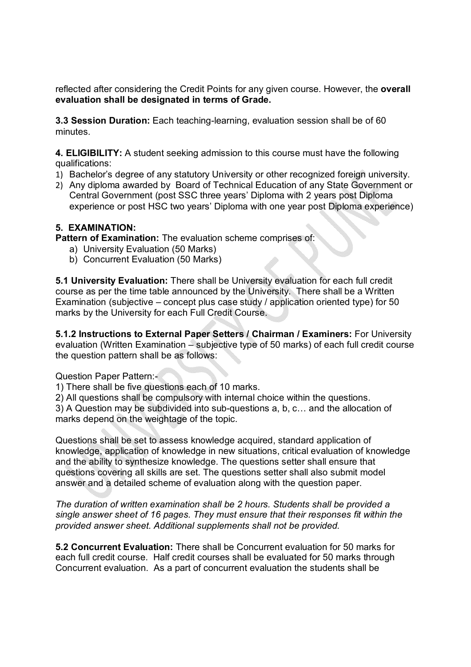reflected after considering the Credit Points for any given course. However, the **overall evaluation shall be designated in terms of Grade.**

**3.3 Session Duration:** Each teaching-learning, evaluation session shall be of 60 minutes.

**4. ELIGIBILITY:** A student seeking admission to this course must have the following qualifications:

- 1) Bachelor's degree of any statutory University or other recognized foreign university.
- 2) Any diploma awarded by Board of Technical Education of any State Government or Central Government (post SSC three years' Diploma with 2 years post Diploma experience or post HSC two years' Diploma with one year post Diploma experience)

### **5. EXAMINATION:**

**Pattern of Examination:** The evaluation scheme comprises of:

- a) University Evaluation (50 Marks)
- b) Concurrent Evaluation (50 Marks)

**5.1 University Evaluation:** There shall be University evaluation for each full credit course as per the time table announced by the University. There shall be a Written Examination (subjective – concept plus case study / application oriented type) for 50 marks by the University for each Full Credit Course.

**5.1.2 Instructions to External Paper Setters / Chairman / Examiners:** For University evaluation (Written Examination – subjective type of 50 marks) of each full credit course the question pattern shall be as follows:

Question Paper Pattern:-

1) There shall be five questions each of 10 marks.

2) All questions shall be compulsory with internal choice within the questions.

3) A Question may be subdivided into sub-questions a, b, c… and the allocation of marks depend on the weightage of the topic.

Questions shall be set to assess knowledge acquired, standard application of knowledge, application of knowledge in new situations, critical evaluation of knowledge and the ability to synthesize knowledge. The questions setter shall ensure that questions covering all skills are set. The questions setter shall also submit model answer and a detailed scheme of evaluation along with the question paper.

*The duration of written examination shall be 2 hours. Students shall be provided a single answer sheet of 16 pages. They must ensure that their responses fit within the provided answer sheet. Additional supplements shall not be provided.*

**5.2 Concurrent Evaluation:** There shall be Concurrent evaluation for 50 marks for each full credit course. Half credit courses shall be evaluated for 50 marks through Concurrent evaluation. As a part of concurrent evaluation the students shall be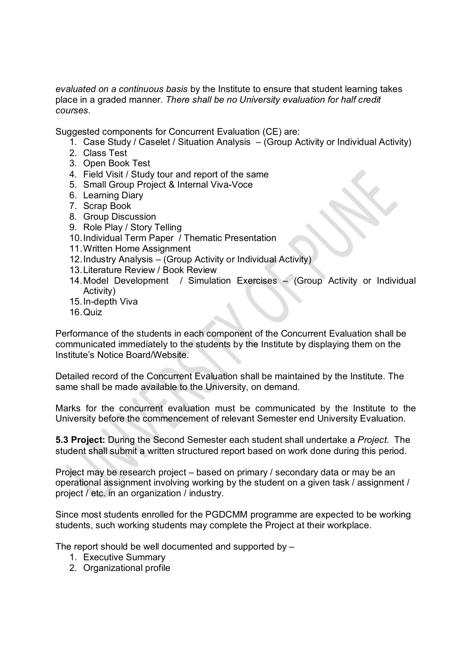*evaluated on a continuous basis* by the Institute to ensure that student learning takes place in a graded manner. *There shall be no University evaluation for half credit courses*.

Suggested components for Concurrent Evaluation (CE) are:

- 1. Case Study / Caselet / Situation Analysis (Group Activity or Individual Activity)
- 2. Class Test
- 3. Open Book Test
- 4. Field Visit / Study tour and report of the same
- 5. Small Group Project & Internal Viva-Voce
- 6. Learning Diary
- 7. Scrap Book
- 8. Group Discussion
- 9. Role Play / Story Telling
- 10.Individual Term Paper / Thematic Presentation
- 11.Written Home Assignment
- 12.Industry Analysis (Group Activity or Individual Activity)
- 13.Literature Review / Book Review
- 14.Model Development / Simulation Exercises (Group Activity or Individual Activity)
- 15.In-depth Viva
- 16.Quiz

Performance of the students in each component of the Concurrent Evaluation shall be communicated immediately to the students by the Institute by displaying them on the Institute's Notice Board/Website.

Detailed record of the Concurrent Evaluation shall be maintained by the Institute. The same shall be made available to the University, on demand.

Marks for the concurrent evaluation must be communicated by the Institute to the University before the commencement of relevant Semester end University Evaluation.

**5.3 Project:** During the Second Semester each student shall undertake a *Project*. The student shall submit a written structured report based on work done during this period.

Project may be research project – based on primary / secondary data or may be an operational assignment involving working by the student on a given task / assignment / project / etc. in an organization / industry.

Since most students enrolled for the PGDCMM programme are expected to be working students, such working students may complete the Project at their workplace.

The report should be well documented and supported by –

- 1. Executive Summary
- 2. Organizational profile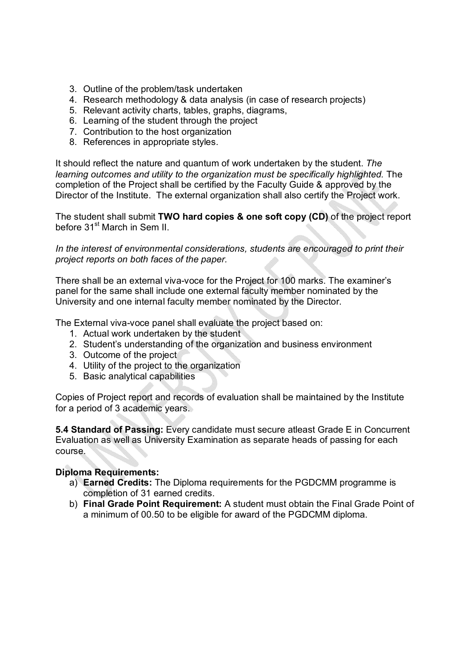- 3. Outline of the problem/task undertaken
- 4. Research methodology & data analysis (in case of research projects)
- 5. Relevant activity charts, tables, graphs, diagrams,
- 6. Learning of the student through the project
- 7. Contribution to the host organization
- 8. References in appropriate styles.

It should reflect the nature and quantum of work undertaken by the student. *The learning outcomes and utility to the organization must be specifically highlighted.* The completion of the Project shall be certified by the Faculty Guide & approved by the Director of the Institute. The external organization shall also certify the Project work.

The student shall submit **TWO hard copies & one soft copy (CD)** of the project report before 31<sup>st</sup> March in Sem II.

*In the interest of environmental considerations, students are encouraged to print their project reports on both faces of the paper.*

There shall be an external viva-voce for the Project for 100 marks. The examiner's panel for the same shall include one external faculty member nominated by the University and one internal faculty member nominated by the Director.

The External viva-voce panel shall evaluate the project based on:

- 1. Actual work undertaken by the student
- 2. Student's understanding of the organization and business environment
- 3. Outcome of the project
- 4. Utility of the project to the organization
- 5. Basic analytical capabilities

Copies of Project report and records of evaluation shall be maintained by the Institute for a period of 3 academic years.

**5.4 Standard of Passing:** Every candidate must secure atleast Grade E in Concurrent Evaluation as well as University Examination as separate heads of passing for each course.

#### **Diploma Requirements:**

- a) **Earned Credits:** The Diploma requirements for the PGDCMM programme is completion of 31 earned credits.
- b) **Final Grade Point Requirement:** A student must obtain the Final Grade Point of a minimum of 00.50 to be eligible for award of the PGDCMM diploma.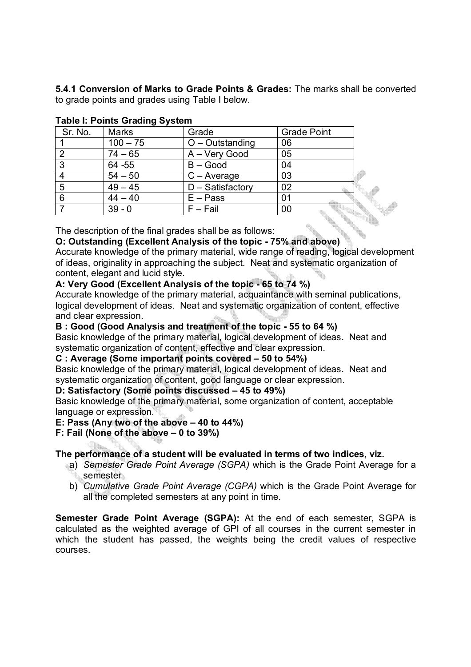**5.4.1 Conversion of Marks to Grade Points & Grades:** The marks shall be converted to grade points and grades using Table I below.

|         | . <i>. .</i> |                     |                    |  |  |
|---------|--------------|---------------------|--------------------|--|--|
| Sr. No. | <b>Marks</b> | Grade               | <b>Grade Point</b> |  |  |
|         | $100 - 75$   | $O$ – Outstanding   | 06                 |  |  |
| 2       | $74 - 65$    | A - Very Good       | 05                 |  |  |
| 3       | 64 - 55      | $B - Good$          | 04                 |  |  |
|         | $54 - 50$    | $C - Average$       | 03                 |  |  |
| 5       | $49 - 45$    | $D - S$ atisfactory | 02                 |  |  |
| 6       | $44 - 40$    | $E - Pass$          | 01                 |  |  |
|         | $39 - 0$     | $F - Fail$          | 00                 |  |  |

# **Table I: Points Grading System**

The description of the final grades shall be as follows:

# **O: Outstanding (Excellent Analysis of the topic - 75% and above)**

Accurate knowledge of the primary material, wide range of reading, logical development of ideas, originality in approaching the subject. Neat and systematic organization of content, elegant and lucid style.

### **A: Very Good (Excellent Analysis of the topic - 65 to 74 %)**

Accurate knowledge of the primary material, acquaintance with seminal publications, logical development of ideas. Neat and systematic organization of content, effective and clear expression.

### **B : Good (Good Analysis and treatment of the topic - 55 to 64 %)**

Basic knowledge of the primary material, logical development of ideas. Neat and systematic organization of content, effective and clear expression.

### **C : Average (Some important points covered – 50 to 54%)**

Basic knowledge of the primary material, logical development of ideas. Neat and systematic organization of content, good language or clear expression.

#### **D: Satisfactory (Some points discussed – 45 to 49%)**

Basic knowledge of the primary material, some organization of content, acceptable language or expression.

### **E: Pass (Any two of the above – 40 to 44%)**

### **F: Fail (None of the above – 0 to 39%)**

### **The performance of a student will be evaluated in terms of two indices, viz.**

- a) *Semester Grade Point Average (SGPA)* which is the Grade Point Average for a semester
- b) *Cumulative Grade Point Average (CGPA)* which is the Grade Point Average for all the completed semesters at any point in time.

**Semester Grade Point Average (SGPA):** At the end of each semester, SGPA is calculated as the weighted average of GPI of all courses in the current semester in which the student has passed, the weights being the credit values of respective courses.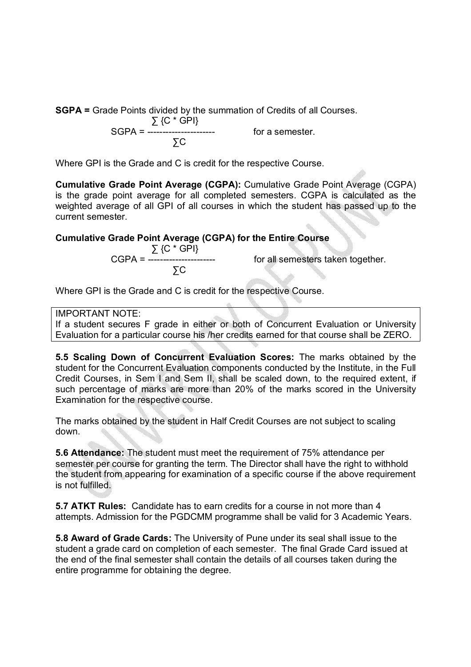**SGPA =** Grade Points divided by the summation of Credits of all Courses.

$$
SGPA = \frac{\sum \{C * GPI\}}{\sum C}
$$

for a semester.

Where GPI is the Grade and C is credit for the respective Course.

**Cumulative Grade Point Average (CGPA):** Cumulative Grade Point Average (CGPA) is the grade point average for all completed semesters. CGPA is calculated as the weighted average of all GPI of all courses in which the student has passed up to the current semester.

**Cumulative Grade Point Average (CGPA) for the Entire Course**

$$
CGPA = \frac{\sum \{C * GPI\}}{\sum C}
$$

for all semesters taken together.

Where GPI is the Grade and C is credit for the respective Course.

### IMPORTANT NOTE:

If a student secures F grade in either or both of Concurrent Evaluation or University Evaluation for a particular course his /her credits earned for that course shall be ZERO.

**5.5 Scaling Down of Concurrent Evaluation Scores:** The marks obtained by the student for the Concurrent Evaluation components conducted by the Institute, in the Full Credit Courses, in Sem I and Sem II, shall be scaled down, to the required extent, if such percentage of marks are more than 20% of the marks scored in the University Examination for the respective course.

The marks obtained by the student in Half Credit Courses are not subject to scaling down.

**5.6 Attendance:** The student must meet the requirement of 75% attendance per semester per course for granting the term. The Director shall have the right to withhold the student from appearing for examination of a specific course if the above requirement is not fulfilled.

**5.7 ATKT Rules:** Candidate has to earn credits for a course in not more than 4 attempts. Admission for the PGDCMM programme shall be valid for 3 Academic Years.

**5.8 Award of Grade Cards:** The University of Pune under its seal shall issue to the student a grade card on completion of each semester. The final Grade Card issued at the end of the final semester shall contain the details of all courses taken during the entire programme for obtaining the degree.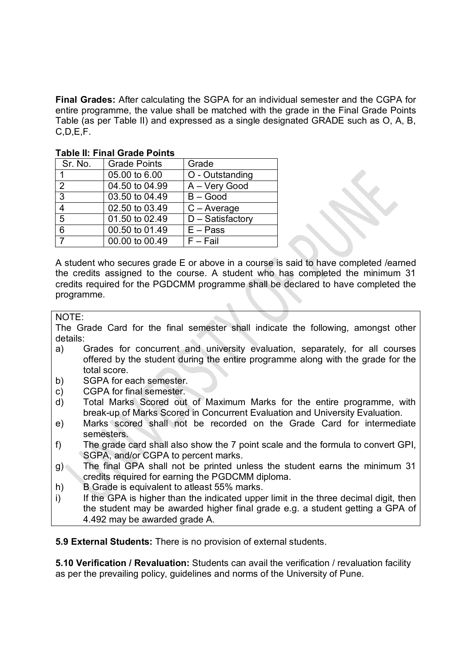**Final Grades:** After calculating the SGPA for an individual semester and the CGPA for entire programme, the value shall be matched with the grade in the Final Grade Points Table (as per Table II) and expressed as a single designated GRADE such as O, A, B, C,D,E,F.

| Sr. No.        | <b>Grade Points</b> | Grade               |  |  |  |  |
|----------------|---------------------|---------------------|--|--|--|--|
|                | 05.00 to 6.00       | O - Outstanding     |  |  |  |  |
| 2              | 04.50 to 04.99      | A - Very Good       |  |  |  |  |
| $\overline{3}$ | 03.50 to 04.49      | $B - Good$          |  |  |  |  |
| $\overline{4}$ | 02.50 to 03.49      | $C - Average$       |  |  |  |  |
| $\overline{5}$ | 01.50 to 02.49      | $D - S$ atisfactory |  |  |  |  |
| 6              | 00.50 to 01.49      | $E - Pass$          |  |  |  |  |
| 7              | 00.00 to 00.49      | $F - Fail$          |  |  |  |  |

# **Table II: Final Grade Points**

A student who secures grade E or above in a course is said to have completed /earned the credits assigned to the course. A student who has completed the minimum 31 credits required for the PGDCMM programme shall be declared to have completed the programme.

### NOTE:

The Grade Card for the final semester shall indicate the following, amongst other details:

- a) Grades for concurrent and university evaluation, separately, for all courses offered by the student during the entire programme along with the grade for the total score.
- b) SGPA for each semester.
- c) CGPA for final semester.
- d) Total Marks Scored out of Maximum Marks for the entire programme, with break-up of Marks Scored in Concurrent Evaluation and University Evaluation.
- e) Marks scored shall not be recorded on the Grade Card for intermediate semesters.
- f) The grade card shall also show the 7 point scale and the formula to convert GPI, SGPA, and/or CGPA to percent marks.
- g) The final GPA shall not be printed unless the student earns the minimum 31 credits required for earning the PGDCMM diploma.
- h) B Grade is equivalent to atleast 55% marks.
- i) If the GPA is higher than the indicated upper limit in the three decimal digit, then the student may be awarded higher final grade e.g. a student getting a GPA of 4.492 may be awarded grade A.

**5.9 External Students:** There is no provision of external students.

**5.10 Verification / Revaluation:** Students can avail the verification / revaluation facility as per the prevailing policy, guidelines and norms of the University of Pune.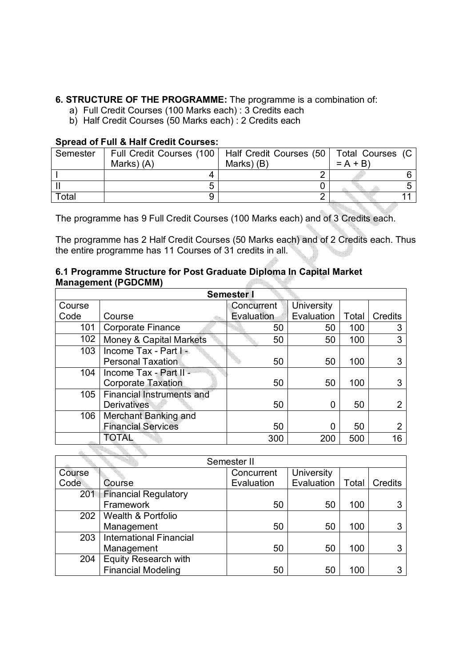### **6. STRUCTURE OF THE PROGRAMME:** The programme is a combination of:

- a) Full Credit Courses (100 Marks each) : 3 Credits each
- b) Half Credit Courses (50 Marks each) : 2 Credits each

### **Spread of Full & Half Credit Courses:**

| Semester |            | Full Credit Courses (100   Half Credit Courses (50   Total Courses (C |           |
|----------|------------|-----------------------------------------------------------------------|-----------|
|          | Marks) (A) | Marks) (B)                                                            | $= A + B$ |
|          |            |                                                                       |           |
|          |            |                                                                       |           |
| Total    |            |                                                                       |           |

The programme has 9 Full Credit Courses (100 Marks each) and of 3 Credits each.

The programme has 2 Half Credit Courses (50 Marks each) and of 2 Credits each. Thus the entire programme has 11 Courses of 31 credits in all.

#### **6.1 Programme Structure for Post Graduate Diploma In Capital Market Management (PGDCMM)**

| <b>Semester I</b> |                           |            |                   |       |         |  |
|-------------------|---------------------------|------------|-------------------|-------|---------|--|
| Course            |                           | Concurrent | <b>University</b> |       |         |  |
| Code              | Course                    | Evaluation | Evaluation        | Total | Credits |  |
| 101               | <b>Corporate Finance</b>  | 50         | 50                | 100   | 3       |  |
| 102               | Money & Capital Markets   | 50         | 50                | 100   | 3       |  |
| 103               | Income Tax - Part         |            |                   |       |         |  |
|                   | <b>Personal Taxation</b>  | 50         | 50                | 100   |         |  |
| 104               | Income Tax - Part II -    |            |                   |       |         |  |
|                   | <b>Corporate Taxation</b> | 50         | 50                | 100   |         |  |
| 105               | Financial Instruments and |            |                   |       |         |  |
|                   | <b>Derivatives</b>        | 50         | 0                 | 50    |         |  |
| 106               | Merchant Banking and      |            |                   |       |         |  |
|                   | <b>Financial Services</b> | 50         | 0                 | 50    |         |  |
|                   | TOTAL                     | 300        | 200               | 500   | 16      |  |

|                                       | Semester II                 |            |            |       |         |
|---------------------------------------|-----------------------------|------------|------------|-------|---------|
| Course                                |                             | Concurrent | University |       |         |
| Code                                  | Course                      | Evaluation | Evaluation | Total | Credits |
|                                       | 201 Financial Regulatory    |            |            |       |         |
|                                       | Framework                   | 50         | 50         | 100   |         |
| Wealth & Portfolio<br>202             |                             |            |            |       |         |
|                                       | Management                  | 50         | 50         | 100   |         |
| <b>International Financial</b><br>203 |                             |            |            |       |         |
|                                       | Management                  | 50         | 50         | 100   | 3       |
| 204                                   | <b>Equity Research with</b> |            |            |       |         |
|                                       | <b>Financial Modeling</b>   | 50         | 50         | 100   |         |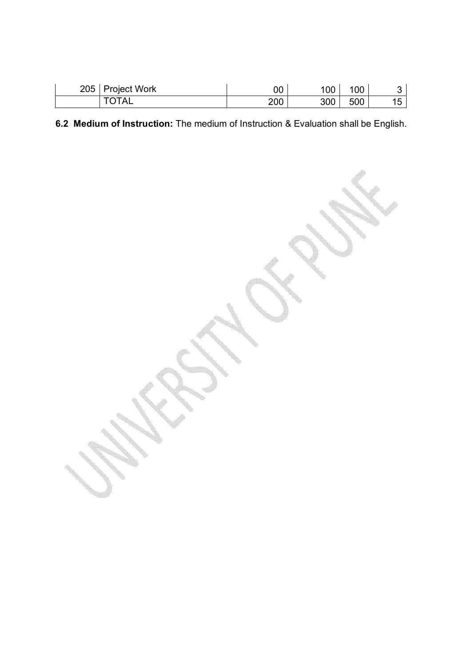| 205   Project Work | 00  | 100 | 100 |  |
|--------------------|-----|-----|-----|--|
| <b>TOTAL</b>       | 200 | 300 | 500 |  |

**6.2 Medium of Instruction:** The medium of Instruction & Evaluation shall be English.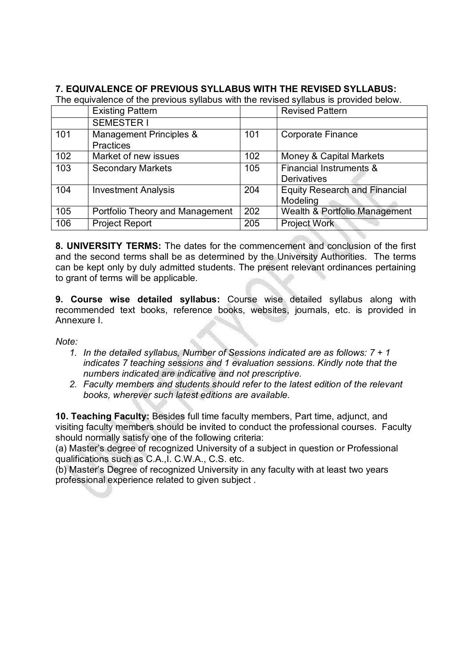# **7. EQUIVALENCE OF PREVIOUS SYLLABUS WITH THE REVISED SYLLABUS:**

The equivalence of the previous syllabus with the revised syllabus is provided below.

|     | <b>Existing Pattern</b>                     |     | <b>Revised Pattern</b>                           |
|-----|---------------------------------------------|-----|--------------------------------------------------|
|     | <b>SEMESTER I</b>                           |     |                                                  |
| 101 | Management Principles &<br><b>Practices</b> | 101 | <b>Corporate Finance</b>                         |
| 102 | Market of new issues                        | 102 | Money & Capital Markets                          |
| 103 | <b>Secondary Markets</b>                    | 105 | Financial Instruments &<br><b>Derivatives</b>    |
| 104 | <b>Investment Analysis</b>                  | 204 | <b>Equity Research and Financial</b><br>Modeling |
| 105 | Portfolio Theory and Management             | 202 | Wealth & Portfolio Management                    |
| 106 | <b>Project Report</b>                       | 205 | <b>Project Work</b>                              |

**8. UNIVERSITY TERMS:** The dates for the commencement and conclusion of the first and the second terms shall be as determined by the University Authorities. The terms can be kept only by duly admitted students. The present relevant ordinances pertaining to grant of terms will be applicable.

**9. Course wise detailed syllabus:** Course wise detailed syllabus along with recommended text books, reference books, websites, journals, etc. is provided in Annexure I.

*Note:* 

- *1. In the detailed syllabus, Number of Sessions indicated are as follows: 7 + 1 indicates 7 teaching sessions and 1 evaluation sessions. Kindly note that the numbers indicated are indicative and not prescriptive.*
- *2. Faculty members and students should refer to the latest edition of the relevant books, wherever such latest editions are available.*

**10. Teaching Faculty:** Besides full time faculty members, Part time, adjunct, and visiting faculty members should be invited to conduct the professional courses. Faculty should normally satisfy one of the following criteria:

(a) Master's degree of recognized University of a subject in question or Professional qualifications such as C.A.,I. C.W.A., C.S. etc.

(b) Master's Degree of recognized University in any faculty with at least two years professional experience related to given subject .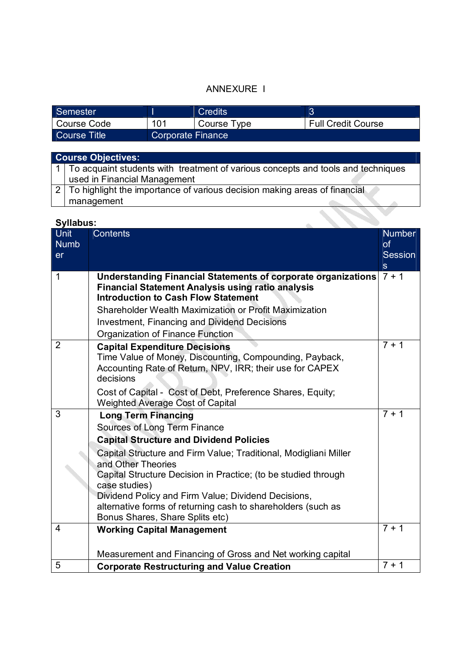# ANNEXURE I

| Semester     |                          | Credits     |                           |
|--------------|--------------------------|-------------|---------------------------|
| Course Code  | 101                      | Course Type | <b>Full Credit Course</b> |
| Course Title | <b>Corporate Finance</b> |             |                           |

| <b>Course Objectives:</b>                                                          |  |  |  |  |  |
|------------------------------------------------------------------------------------|--|--|--|--|--|
| 1 To acquaint students with treatment of various concepts and tools and techniques |  |  |  |  |  |
| used in Financial Management                                                       |  |  |  |  |  |
| 2   To highlight the importance of various decision making areas of financial      |  |  |  |  |  |
| management                                                                         |  |  |  |  |  |

| <b>Unit</b>    | <b>Contents</b>                                                                                                                  | <b>Number</b>           |
|----------------|----------------------------------------------------------------------------------------------------------------------------------|-------------------------|
| <b>Numb</b>    |                                                                                                                                  | of                      |
| <b>er</b>      |                                                                                                                                  | <b>Session</b>          |
|                |                                                                                                                                  | <sub>S</sub><br>$7 + 1$ |
| $\mathbf{1}$   | <b>Understanding Financial Statements of corporate organizations</b><br><b>Financial Statement Analysis using ratio analysis</b> |                         |
|                | <b>Introduction to Cash Flow Statement</b>                                                                                       |                         |
|                | Shareholder Wealth Maximization or Profit Maximization                                                                           |                         |
|                | <b>Investment, Financing and Dividend Decisions</b>                                                                              |                         |
|                | Organization of Finance Function                                                                                                 |                         |
| $\overline{2}$ | <b>Capital Expenditure Decisions</b>                                                                                             | $7 + 1$                 |
|                | Time Value of Money, Discounting, Compounding, Payback,                                                                          |                         |
|                | Accounting Rate of Return, NPV, IRR; their use for CAPEX                                                                         |                         |
|                | decisions                                                                                                                        |                         |
|                | Cost of Capital - Cost of Debt, Preference Shares, Equity;                                                                       |                         |
|                | <b>Weighted Average Cost of Capital</b>                                                                                          |                         |
| 3              | <b>Long Term Financing</b>                                                                                                       | $7 + 1$                 |
|                | Sources of Long Term Finance                                                                                                     |                         |
|                | <b>Capital Structure and Dividend Policies</b>                                                                                   |                         |
|                | Capital Structure and Firm Value; Traditional, Modigliani Miller                                                                 |                         |
|                | and Other Theories                                                                                                               |                         |
|                | Capital Structure Decision in Practice; (to be studied through                                                                   |                         |
|                | case studies)<br>Dividend Policy and Firm Value; Dividend Decisions,                                                             |                         |
|                | alternative forms of returning cash to shareholders (such as                                                                     |                         |
|                | Bonus Shares, Share Splits etc)                                                                                                  |                         |
| 4              | <b>Working Capital Management</b>                                                                                                | $7 + 1$                 |
|                |                                                                                                                                  |                         |
|                | Measurement and Financing of Gross and Net working capital                                                                       |                         |
| 5              | <b>Corporate Restructuring and Value Creation</b>                                                                                | $7 + 1$                 |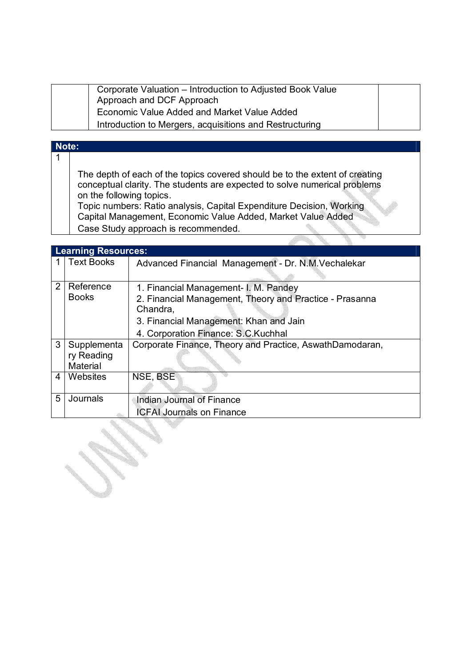| Corporate Valuation - Introduction to Adjusted Book Value |
|-----------------------------------------------------------|
| Approach and DCF Approach                                 |
| Economic Value Added and Market Value Added               |
| Introduction to Mergers, acquisitions and Restructuring   |

#### **Note:** 1

▓

The depth of each of the topics covered should be to the extent of creating conceptual clarity. The students are expected to solve numerical problems on the following topics.

Topic numbers: Ratio analysis, Capital Expenditure Decision, Working Capital Management, Economic Value Added, Market Value Added Case Study approach is recommended.

| <b>Learning Resources:</b> |                                                          |  |
|----------------------------|----------------------------------------------------------|--|
| <b>Text Books</b>          | Advanced Financial Management - Dr. N.M. Vechalekar      |  |
|                            |                                                          |  |
| Reference                  | 1. Financial Management- I. M. Pandey                    |  |
| <b>Books</b>               | 2. Financial Management, Theory and Practice - Prasanna  |  |
|                            | Chandra,                                                 |  |
|                            | 3. Financial Management: Khan and Jain                   |  |
|                            | 4. Corporation Finance: S.C.Kuchhal                      |  |
| Supplementa                | Corporate Finance, Theory and Practice, AswathDamodaran, |  |
| ry Reading                 |                                                          |  |
|                            |                                                          |  |
| Websites                   | NSE, BSE                                                 |  |
|                            |                                                          |  |
|                            | Indian Journal of Finance                                |  |
|                            | <b>ICFAI Journals on Finance</b>                         |  |
|                            | Material<br>Journals                                     |  |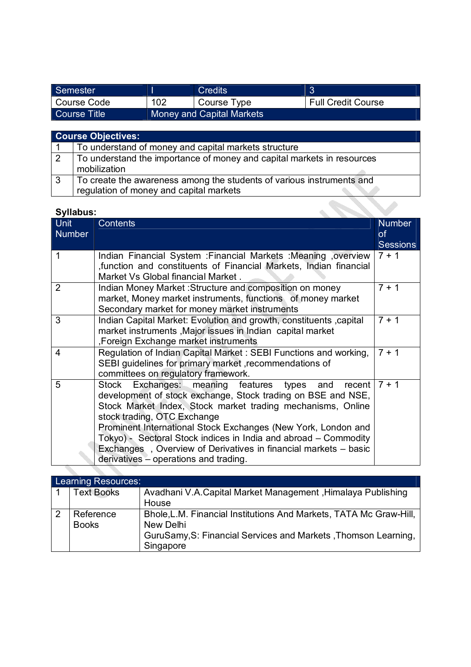| Semester      |     | <b>Credits</b>            |                           |
|---------------|-----|---------------------------|---------------------------|
| l Course Code | 102 | Course Type               | <b>Full Credit Course</b> |
| Course Title  |     | Money and Capital Markets |                           |

|                | <b>Course Objectives:</b>                                                                                        |
|----------------|------------------------------------------------------------------------------------------------------------------|
|                | To understand of money and capital markets structure                                                             |
| $\overline{2}$ | To understand the importance of money and capital markets in resources<br>mobilization                           |
| -3             | To create the awareness among the students of various instruments and<br>regulation of money and capital markets |

| <b>Syllabus:</b>             |                                                                                                                                                                                                                                                                                                                                                                                                                                                                        |                                               |  |  |
|------------------------------|------------------------------------------------------------------------------------------------------------------------------------------------------------------------------------------------------------------------------------------------------------------------------------------------------------------------------------------------------------------------------------------------------------------------------------------------------------------------|-----------------------------------------------|--|--|
| <b>Unit</b><br><b>Number</b> | <b>Contents</b>                                                                                                                                                                                                                                                                                                                                                                                                                                                        | <b>Number</b><br><b>of</b><br><b>Sessions</b> |  |  |
|                              | Indian Financial System : Financial Markets : Meaning , overview<br>,function and constituents of Financial Markets, Indian financial<br>Market Vs Global financial Market.                                                                                                                                                                                                                                                                                            | $7 + 1$                                       |  |  |
| $\overline{2}$               | Indian Money Market : Structure and composition on money<br>market, Money market instruments, functions of money market<br>Secondary market for money market instruments                                                                                                                                                                                                                                                                                               | $7 + 1$                                       |  |  |
| 3                            | Indian Capital Market: Evolution and growth, constituents, capital<br>market instruments, Major issues in Indian capital market<br>, Foreign Exchange market instruments                                                                                                                                                                                                                                                                                               | $7 + 1$                                       |  |  |
| 4                            | Regulation of Indian Capital Market: SEBI Functions and working,<br>SEBI guidelines for primary market, recommendations of<br>committees on regulatory framework.                                                                                                                                                                                                                                                                                                      | $7 + 1$                                       |  |  |
| 5                            | Stock Exchanges: meaning features types<br>recent<br>and<br>development of stock exchange, Stock trading on BSE and NSE,<br>Stock Market Index, Stock market trading mechanisms, Online<br>stock trading, OTC Exchange<br>Prominent International Stock Exchanges (New York, London and<br>Tokyo) - Sectoral Stock indices in India and abroad - Commodity<br>Exchanges, Overview of Derivatives in financial markets - basic<br>derivatives - operations and trading. | $7 + 1$                                       |  |  |
|                              |                                                                                                                                                                                                                                                                                                                                                                                                                                                                        |                                               |  |  |

| <b>Learning Resources:</b> |                                                                                                                                                                |
|----------------------------|----------------------------------------------------------------------------------------------------------------------------------------------------------------|
| <b>Text Books</b>          | Avadhani V.A.Capital Market Management, Himalaya Publishing<br>House                                                                                           |
| Reference<br><b>Books</b>  | Bhole, L.M. Financial Institutions And Markets, TATA Mc Graw-Hill,<br>New Delhi<br>GuruSamy, S: Financial Services and Markets, Thomson Learning,<br>Singapore |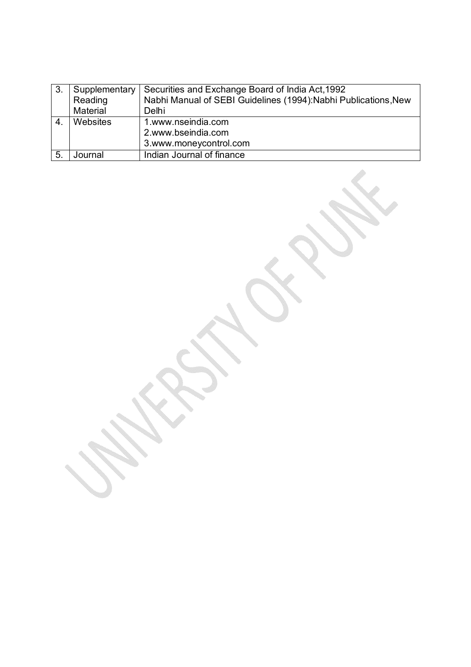| 3.             | Supplementary   | Securities and Exchange Board of India Act, 1992                |
|----------------|-----------------|-----------------------------------------------------------------|
|                | Reading         | Nabhi Manual of SEBI Guidelines (1994): Nabhi Publications, New |
|                | Material        | Delhi                                                           |
| 4.             | <b>Websites</b> | 1.www.nseindia.com                                              |
|                |                 | 2.www.bseindia.com                                              |
|                |                 | 3.www.moneycontrol.com                                          |
| 5 <sub>1</sub> | Journal         | Indian Journal of finance                                       |

.

Controlled Branch

o de concerta de la concerta de la concerta de la concerta de la concerta de la concerta de la concerta de la 

**SERVICE** 

**Service** 

0

e de la construcción de la construcción de la construcción de la construcción de la construcción de la construcción de la construcción de la construcción de la construcción de la construcción de la construcción de la const

あんじょう

 $\mathcal{L}$ 

O San Bara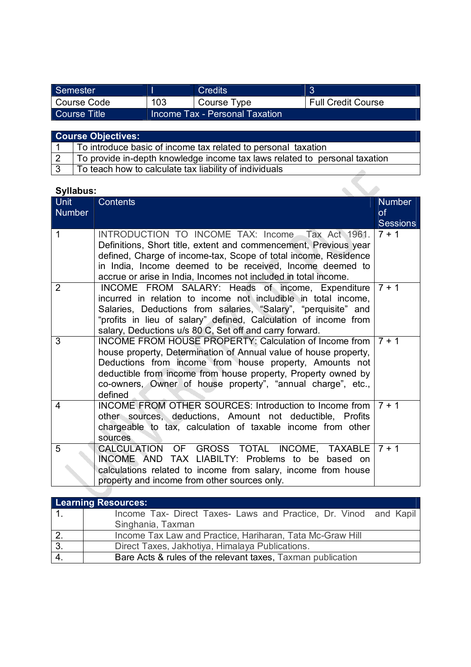| Semester     |     | Credits                        |                           |
|--------------|-----|--------------------------------|---------------------------|
| Course Code  | 103 | Course Type                    | <b>Full Credit Course</b> |
| Course Title |     | Income Tax - Personal Taxation |                           |

| Course Objectives:                                                         |
|----------------------------------------------------------------------------|
| To introduce basic of income tax related to personal taxation              |
| To provide in-depth knowledge income tax laws related to personal taxation |
|                                                                            |

ra M

3 To teach how to calculate tax liability of individuals

| <b>Syllabus:</b> |                                                                                                                                     |                 |
|------------------|-------------------------------------------------------------------------------------------------------------------------------------|-----------------|
| Unit             | <b>Contents</b>                                                                                                                     | <b>Number</b>   |
| <b>Number</b>    |                                                                                                                                     | <b>of</b>       |
|                  |                                                                                                                                     | <b>Sessions</b> |
| $\mathbf{1}$     | INTRODUCTION TO INCOME TAX: Income Tax Act 1961.                                                                                    | $7 + 1$         |
|                  | Definitions, Short title, extent and commencement, Previous year<br>defined, Charge of income-tax, Scope of total income, Residence |                 |
|                  | in India, Income deemed to be received, Income deemed to                                                                            |                 |
|                  | accrue or arise in India, Incomes not included in total income.                                                                     |                 |
| $\overline{2}$   | INCOME FROM SALARY: Heads of income, Expenditure                                                                                    | $7 + 1$         |
|                  | incurred in relation to income not includible in total income,                                                                      |                 |
|                  | Salaries, Deductions from salaries, "Salary", "perquisite" and                                                                      |                 |
|                  | "profits in lieu of salary" defined, Calculation of income from                                                                     |                 |
|                  | salary, Deductions u/s 80 C, Set off and carry forward.                                                                             |                 |
| 3                | <b>INCOME FROM HOUSE PROPERTY: Calculation of Income from</b>                                                                       | $7 + 1$         |
|                  | house property, Determination of Annual value of house property,                                                                    |                 |
|                  | Deductions from income from house property, Amounts not                                                                             |                 |
|                  | deductible from income from house property, Property owned by<br>co-owners, Owner of house property", "annual charge", etc.,        |                 |
|                  | defined                                                                                                                             |                 |
| 4                | INCOME FROM OTHER SOURCES: Introduction to Income from                                                                              | $7 + 1$         |
|                  | other sources, deductions, Amount not deductible, Profits                                                                           |                 |
|                  | chargeable to tax, calculation of taxable income from other                                                                         |                 |
|                  | sources                                                                                                                             |                 |
| 5                | CALCULATION OF GROSS TOTAL INCOME, TAXABLE                                                                                          | $7 + 1$         |
|                  | INCOME AND TAX LIABILTY: Problems to be<br>based on                                                                                 |                 |
|                  | calculations related to income from salary, income from house<br>property and income from other sources only.                       |                 |
|                  |                                                                                                                                     |                 |

|                  | <b>Learning Resources:</b>                                       |  |  |  |  |
|------------------|------------------------------------------------------------------|--|--|--|--|
| $\vert$ 1.       | Income Tax- Direct Taxes- Laws and Practice, Dr. Vinod and Kapil |  |  |  |  |
|                  | Singhania, Taxman                                                |  |  |  |  |
| $\overline{2}$ . | Income Tax Law and Practice, Hariharan, Tata Mc-Graw Hill        |  |  |  |  |
| 3.               | Direct Taxes, Jakhotiya, Himalaya Publications.                  |  |  |  |  |
| 4.               | Bare Acts & rules of the relevant taxes, Taxman publication      |  |  |  |  |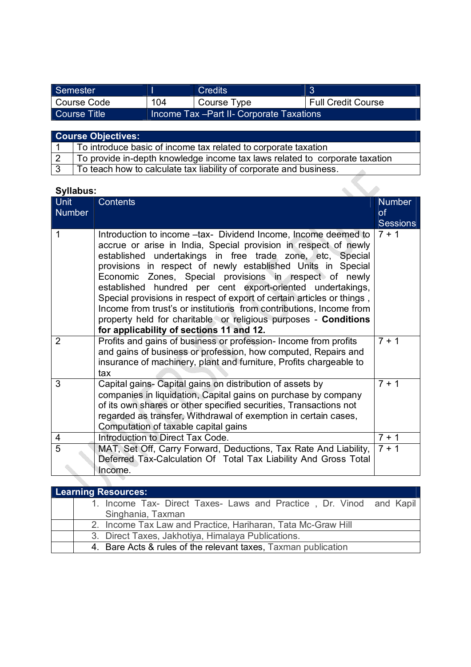| Semester     |     | Credits                                   |                           |
|--------------|-----|-------------------------------------------|---------------------------|
| Course Code  | 104 | Course Type                               | <b>Full Credit Course</b> |
| Course Title |     | Income Tax - Part II- Corporate Taxations |                           |

| <b>Course Objectives:</b> |                                                                                                                |  |  |  |
|---------------------------|----------------------------------------------------------------------------------------------------------------|--|--|--|
|                           | To introduce basic of income tax related to corporate taxation                                                 |  |  |  |
|                           | To provide in-depth knowledge income tax laws related to corporate taxation                                    |  |  |  |
|                           | - 南田 dia baile la constitución de la facta de la constitución de la constitución de la facta de la constitució |  |  |  |

#### $3$   $\top$  To teach how to calculate tax liability of corporate and business.

| <b>Syllabus:</b> |                                                                                                                                                                                                                                                                                                                                                                                                                                                                                                                                        |                            |
|------------------|----------------------------------------------------------------------------------------------------------------------------------------------------------------------------------------------------------------------------------------------------------------------------------------------------------------------------------------------------------------------------------------------------------------------------------------------------------------------------------------------------------------------------------------|----------------------------|
| <b>Unit</b>      | <b>Contents</b>                                                                                                                                                                                                                                                                                                                                                                                                                                                                                                                        | <b>Number</b>              |
| <b>Number</b>    |                                                                                                                                                                                                                                                                                                                                                                                                                                                                                                                                        | <b>of</b>                  |
| 1                | Introduction to income -tax- Dividend Income, Income deemed to<br>accrue or arise in India, Special provision in respect of newly<br>established undertakings in free trade zone, etc, Special<br>provisions in respect of newly established Units in Special<br>Economic Zones, Special provisions in respect of newly<br>established hundred per cent export-oriented undertakings,<br>Special provisions in respect of export of certain articles or things,<br>Income from trust's or institutions from contributions, Income from | <b>Sessions</b><br>$7 + 1$ |
|                  | property held for charitable or religious purposes - Conditions<br>for applicability of sections 11 and 12.                                                                                                                                                                                                                                                                                                                                                                                                                            |                            |
| $\overline{2}$   | Profits and gains of business or profession- Income from profits<br>and gains of business or profession, how computed, Repairs and<br>insurance of machinery, plant and furniture, Profits chargeable to<br>tax                                                                                                                                                                                                                                                                                                                        | $7 + 1$                    |
| 3                | Capital gains- Capital gains on distribution of assets by<br>companies in liquidation, Capital gains on purchase by company<br>of its own shares or other specified securities, Transactions not<br>regarded as transfer, Withdrawal of exemption in certain cases,<br>Computation of taxable capital gains                                                                                                                                                                                                                            | $7 + 1$                    |
| 4                | Introduction to Direct Tax Code.                                                                                                                                                                                                                                                                                                                                                                                                                                                                                                       | $7 + 1$                    |
| $\overline{5}$   | MAT, Set Off, Carry Forward, Deductions, Tax Rate And Liability,<br>Deferred Tax-Calculation Of Total Tax Liability And Gross Total<br>Income.                                                                                                                                                                                                                                                                                                                                                                                         | $7 + 1$                    |
|                  |                                                                                                                                                                                                                                                                                                                                                                                                                                                                                                                                        |                            |

| Learning Resources:                                                 |  |  |  |  |  |
|---------------------------------------------------------------------|--|--|--|--|--|
| 1. Income Tax- Direct Taxes- Laws and Practice, Dr. Vinod and Kapil |  |  |  |  |  |
| Singhania, Taxman                                                   |  |  |  |  |  |
| 2. Income Tax Law and Practice, Hariharan, Tata Mc-Graw Hill        |  |  |  |  |  |
| 3. Direct Taxes, Jakhotiya, Himalaya Publications.                  |  |  |  |  |  |
| 4. Bare Acts & rules of the relevant taxes, Taxman publication      |  |  |  |  |  |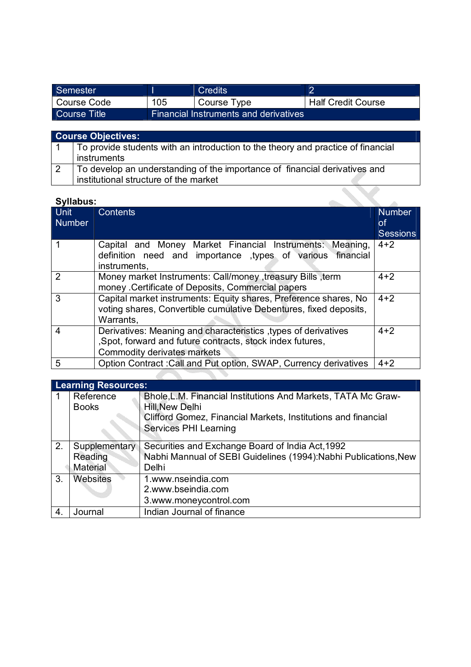| Semester      |     | Credits                               |                           |
|---------------|-----|---------------------------------------|---------------------------|
| l Course Code | 105 | Course Type                           | <b>Half Credit Course</b> |
| Course Title  |     | Financial Instruments and derivatives |                           |

### **Course Objectives:** 1 To provide students with an introduction to the theory and practice of financial instruments 2 To develop an understanding of the importance of financial derivatives and

# institutional structure of the market

| o manao:              |                                                                                                                                                             |                                        |
|-----------------------|-------------------------------------------------------------------------------------------------------------------------------------------------------------|----------------------------------------|
| Unit<br><b>Number</b> | <b>Contents</b>                                                                                                                                             | <b>Number</b><br>οf<br><b>Sessions</b> |
|                       | Capital and Money Market Financial Instruments:<br>Meaning,<br>definition need and importance types of various financial<br>instruments.                    | $4 + 2$                                |
| $\overline{2}$        | Money market Instruments: Call/money, treasury Bills, term<br>money . Certificate of Deposits, Commercial papers                                            | $4 + 2$                                |
| 3                     | Capital market instruments: Equity shares, Preference shares, No<br>voting shares, Convertible cumulative Debentures, fixed deposits,<br>Warrants,          | $4 + 2$                                |
| $\overline{4}$        | Derivatives: Meaning and characteristics, types of derivatives<br>, Spot, forward and future contracts, stock index futures,<br>Commodity derivates markets | $4 + 2$                                |
| 5                     | Option Contract: Call and Put option, SWAP, Currency derivatives                                                                                            | $4 + 2$                                |
|                       |                                                                                                                                                             |                                        |

|    | <b>Learning Resources:</b> |                                                                  |  |  |  |
|----|----------------------------|------------------------------------------------------------------|--|--|--|
|    | Reference                  | Bhole, L.M. Financial Institutions And Markets, TATA Mc Graw-    |  |  |  |
|    | <b>Books</b>               | Hill, New Delhi                                                  |  |  |  |
|    |                            | Clifford Gomez, Financial Markets, Institutions and financial    |  |  |  |
|    |                            | Services PHI Learning                                            |  |  |  |
| 2. | Supplementary              | Securities and Exchange Board of India Act, 1992                 |  |  |  |
|    | Reading                    | Nabhi Mannual of SEBI Guidelines (1994): Nabhi Publications, New |  |  |  |
|    | Material                   | Delhi                                                            |  |  |  |
| 3. | <b>Websites</b>            | 1.www.nseindia.com                                               |  |  |  |
|    |                            | 2.www.bseindia.com                                               |  |  |  |
|    |                            | 3.www.moneycontrol.com                                           |  |  |  |
| 4. | Journal                    | Indian Journal of finance                                        |  |  |  |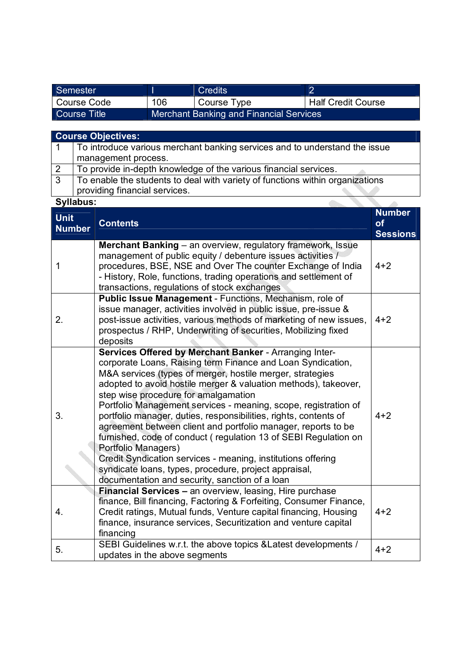| Semester     |     | <b>Credits</b>                          |                           |
|--------------|-----|-----------------------------------------|---------------------------|
| Course Code  | 106 | Course Type                             | <b>Half Credit Course</b> |
| Course Title |     | Merchant Banking and Financial Services |                           |

|--|--|

|                              |                                                                            | <b>Course Objectives:</b>                                                                                                                                                                                                                                                                                     |                                               |  |  |
|------------------------------|----------------------------------------------------------------------------|---------------------------------------------------------------------------------------------------------------------------------------------------------------------------------------------------------------------------------------------------------------------------------------------------------------|-----------------------------------------------|--|--|
| 1                            | To introduce various merchant banking services and to understand the issue |                                                                                                                                                                                                                                                                                                               |                                               |  |  |
|                              | management process.                                                        |                                                                                                                                                                                                                                                                                                               |                                               |  |  |
| $\overline{2}$               |                                                                            | To provide in-depth knowledge of the various financial services.                                                                                                                                                                                                                                              |                                               |  |  |
| $\overline{3}$               |                                                                            | To enable the students to deal with variety of functions within organizations                                                                                                                                                                                                                                 |                                               |  |  |
|                              |                                                                            | providing financial services.                                                                                                                                                                                                                                                                                 |                                               |  |  |
| Syllabus:                    |                                                                            |                                                                                                                                                                                                                                                                                                               |                                               |  |  |
| <b>Unit</b><br><b>Number</b> |                                                                            | <b>Contents</b>                                                                                                                                                                                                                                                                                               | <b>Number</b><br><b>of</b><br><b>Sessions</b> |  |  |
| 1                            |                                                                            | Merchant Banking - an overview, regulatory framework, Issue<br>management of public equity / debenture issues activities /<br>procedures, BSE, NSE and Over The counter Exchange of India<br>- History, Role, functions, trading operations and settlement of<br>transactions, regulations of stock exchanges | $4 + 2$                                       |  |  |
| 2.                           |                                                                            | Public Issue Management - Functions, Mechanism, role of<br>issue manager, activities involved in public issue, pre-issue &<br>post-issue activities, various methods of marketing of new issues,<br>prospectus / RHP, Underwriting of securities, Mobilizing fixed<br>deposits                                | $4 + 2$                                       |  |  |
|                              |                                                                            | Services Offered by Merchant Banker - Arranging Inter-<br>corporate Loans, Raising term Finance and Loan Syndication,<br>M&A services (types of merger, hostile merger, strategies<br>adopted to avoid hostile merger & valuation methods), takeover,<br>step wise procedure for amalgamation                 |                                               |  |  |

| 3. | M&A services (types of merger, hostile merger, strategies<br>adopted to avoid hostile merger & valuation methods), takeover,<br>step wise procedure for amalgamation<br>Portfolio Management services - meaning, scope, registration of<br>portfolio manager, duties, responsibilities, rights, contents of<br>agreement between client and portfolio manager, reports to be<br>furnished, code of conduct (regulation 13 of SEBI Regulation on<br>Portfolio Managers)<br>Credit Syndication services - meaning, institutions offering<br>syndicate loans, types, procedure, project appraisal,<br>documentation and security, sanction of a loan | $4 + 2$ |
|----|---------------------------------------------------------------------------------------------------------------------------------------------------------------------------------------------------------------------------------------------------------------------------------------------------------------------------------------------------------------------------------------------------------------------------------------------------------------------------------------------------------------------------------------------------------------------------------------------------------------------------------------------------|---------|
| 4. | <b>Financial Services - an overview, leasing, Hire purchase</b><br>finance, Bill financing, Factoring & Forfeiting, Consumer Finance,<br>Credit ratings, Mutual funds, Venture capital financing, Housing<br>finance, insurance services, Securitization and venture capital<br>financing                                                                                                                                                                                                                                                                                                                                                         | $4 + 2$ |
| 5. | SEBI Guidelines w.r.t. the above topics & Latest developments /<br>updates in the above segments                                                                                                                                                                                                                                                                                                                                                                                                                                                                                                                                                  | $4 + 2$ |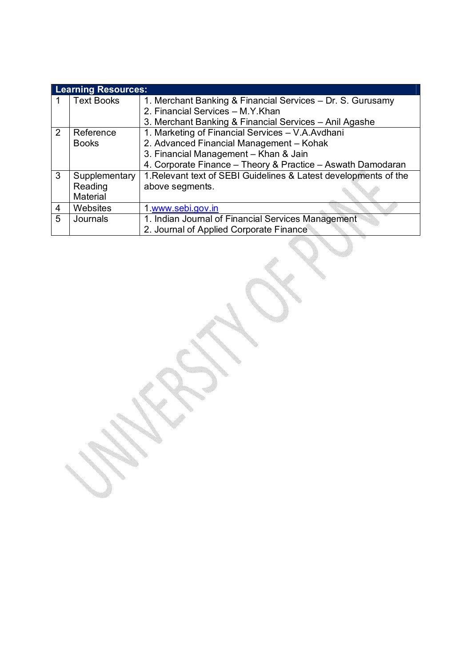|   | <b>Learning Resources:</b> |                                                                  |  |  |  |
|---|----------------------------|------------------------------------------------------------------|--|--|--|
|   | <b>Text Books</b>          | 1. Merchant Banking & Financial Services - Dr. S. Gurusamy       |  |  |  |
|   |                            | 2. Financial Services - M.Y.Khan                                 |  |  |  |
|   |                            | 3. Merchant Banking & Financial Services - Anil Agashe           |  |  |  |
| 2 | Reference                  | 1. Marketing of Financial Services - V.A.Avdhani                 |  |  |  |
|   | <b>Books</b>               | 2. Advanced Financial Management - Kohak                         |  |  |  |
|   |                            | 3. Financial Management - Khan & Jain                            |  |  |  |
|   |                            | 4. Corporate Finance - Theory & Practice - Aswath Damodaran      |  |  |  |
| 3 | Supplementary              | 1. Relevant text of SEBI Guidelines & Latest developments of the |  |  |  |
|   | Reading                    | above segments.                                                  |  |  |  |
|   | Material                   |                                                                  |  |  |  |
| 4 | Websites                   | 1 www.sebi.gov.in                                                |  |  |  |
| 5 | Journals                   | 1. Indian Journal of Financial Services Management               |  |  |  |
|   |                            | 2. Journal of Applied Corporate Finance                          |  |  |  |

on de la construcción de la construcción de la construcción de la construcción de la construcción de la construcción de la construcción de la construcción de la construcción de la construcción de la construcción de la cons

4  $\leqslant$ 

S.

 $\overline{\phantom{a}}$ 

**Service** <u>era</u>

**Service** 

on de la construcción de la construcción de la construcción de la construcción de la construcción de la construcción de la construcción de la construcción de la construcción de la construcción de la construcción de la cons

Ź,

OS CONTRACTOR

 $\prec$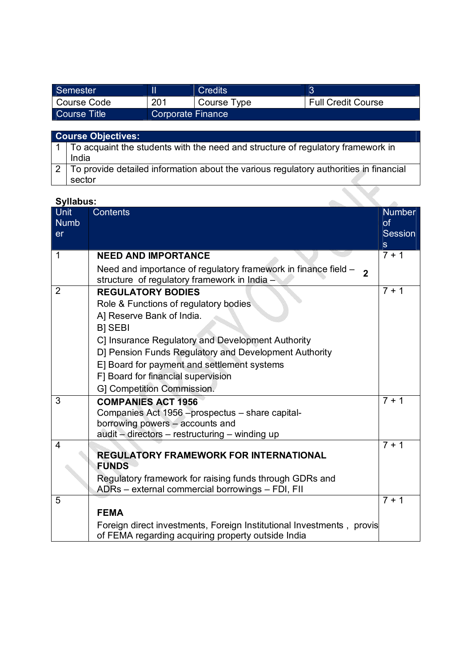| Semester     |                          | <b>Credits</b> |                           |
|--------------|--------------------------|----------------|---------------------------|
| Course Code  | 201                      | Course Type    | <b>Full Credit Course</b> |
| Course Title | <b>Corporate Finance</b> |                |                           |

# **Course Objectives:**

| $\vert$ 1 $\vert$ To acquaint the students with the need and structure of regulatory framework in |
|---------------------------------------------------------------------------------------------------|
| India                                                                                             |
| 2 To provide detailed information about the various regulatory authorities in financial           |
| sector                                                                                            |

| Unit<br><b>Numb</b><br>er | Contents                                                                                                                                                                                                                                                                                                             | <b>Number</b><br>of<br>Session<br>S |
|---------------------------|----------------------------------------------------------------------------------------------------------------------------------------------------------------------------------------------------------------------------------------------------------------------------------------------------------------------|-------------------------------------|
| 1                         | <b>NEED AND IMPORTANCE</b>                                                                                                                                                                                                                                                                                           | $7 + 1$                             |
|                           | Need and importance of regulatory framework in finance field $-2$<br>structure of regulatory framework in India -                                                                                                                                                                                                    |                                     |
| $\overline{2}$            | <b>REGULATORY BODIES</b><br>Role & Functions of regulatory bodies<br>A] Reserve Bank of India.<br><b>B</b> ] SEBI<br>C] Insurance Regulatory and Development Authority<br>D] Pension Funds Regulatory and Development Authority<br>E] Board for payment and settlement systems<br>F] Board for financial supervision | $7 + 1$                             |
| 3                         | G] Competition Commission.<br><b>COMPANIES ACT 1956</b>                                                                                                                                                                                                                                                              | $7 + 1$                             |
|                           | Companies Act 1956 - prospectus - share capital-<br>borrowing powers - accounts and<br>audit - directors - restructuring - winding up                                                                                                                                                                                |                                     |
| 4                         | <b>REGULATORY FRAMEWORK FOR INTERNATIONAL</b><br><b>FUNDS</b>                                                                                                                                                                                                                                                        | $7 + 1$                             |
|                           | Regulatory framework for raising funds through GDRs and<br>ADRs - external commercial borrowings - FDI, FII                                                                                                                                                                                                          |                                     |
| 5                         |                                                                                                                                                                                                                                                                                                                      | $7 + 1$                             |
|                           | <b>FEMA</b>                                                                                                                                                                                                                                                                                                          |                                     |
|                           | Foreign direct investments, Foreign Institutional Investments, provis<br>of FEMA regarding acquiring property outside India                                                                                                                                                                                          |                                     |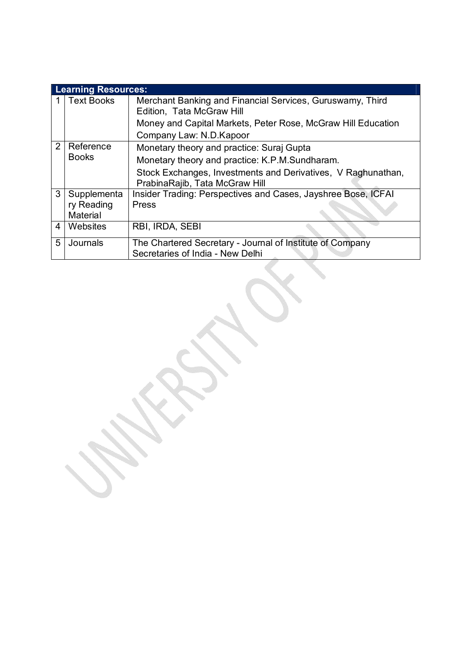|                | <b>Learning Resources:</b> |                                                                                                |
|----------------|----------------------------|------------------------------------------------------------------------------------------------|
|                | <b>Text Books</b>          | Merchant Banking and Financial Services, Guruswamy, Third<br>Edition, Tata McGraw Hill         |
|                |                            | Money and Capital Markets, Peter Rose, McGraw Hill Education<br>Company Law: N.D. Kapoor       |
| $\overline{2}$ | Reference<br><b>Books</b>  | Monetary theory and practice: Suraj Gupta<br>Monetary theory and practice: K.P.M.Sundharam.    |
|                |                            | Stock Exchanges, Investments and Derivatives, V Raghunathan,<br>PrabinaRajib, Tata McGraw Hill |
| 3              | Supplementa                | Insider Trading: Perspectives and Cases, Jayshree Bose, ICFAI                                  |
|                | ry Reading<br>Material     | Press                                                                                          |
| 4              | Websites                   | RBI, IRDA, SEBI                                                                                |
| 5              | Journals                   | The Chartered Secretary - Journal of Institute of Company<br>Secretaries of India - New Delhi  |
|                |                            |                                                                                                |

 $\mathcal{L}$ 

 $\leqslant$ 

**SSS SERVICE SANTA CONTRACTOR** 

**SERVICE SERVICE**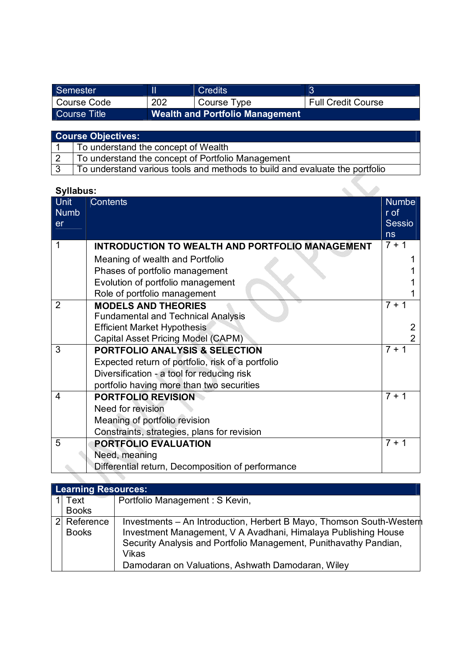| Semester            |                                        | <b>Credits</b> |                           |
|---------------------|----------------------------------------|----------------|---------------------------|
| Course Code         | 202                                    | Course Type    | <b>Full Credit Course</b> |
| <b>Course Title</b> | <b>Wealth and Portfolio Management</b> |                |                           |

| <b>Course Objectives:</b> |                                                                             |  |
|---------------------------|-----------------------------------------------------------------------------|--|
|                           | To understand the concept of Wealth                                         |  |
| $\overline{2}$            | To understand the concept of Portfolio Management                           |  |
| $\overline{3}$            | To understand various tools and methods to build and evaluate the portfolio |  |

| Syllabus:                 |                                                        |                                             |
|---------------------------|--------------------------------------------------------|---------------------------------------------|
| Unit<br><b>Numb</b><br>er | <b>Contents</b>                                        | <b>Numbe</b><br>r of<br><b>Sessio</b><br>ns |
|                           | <b>INTRODUCTION TO WEALTH AND PORTFOLIO MANAGEMENT</b> | $7 + 1$                                     |
|                           | Meaning of wealth and Portfolio                        |                                             |
|                           | Phases of portfolio management                         |                                             |
|                           | Evolution of portfolio management                      |                                             |
|                           | Role of portfolio management                           |                                             |
| $\overline{2}$            | <b>MODELS AND THEORIES</b>                             | $7 + 1$                                     |
|                           | <b>Fundamental and Technical Analysis</b>              |                                             |
|                           | <b>Efficient Market Hypothesis</b>                     | 2                                           |
|                           | Capital Asset Pricing Model (CAPM)                     | $\overline{2}$                              |
| 3                         | <b>PORTFOLIO ANALYSIS &amp; SELECTION</b>              | $7 + 1$                                     |
|                           | Expected return of portfolio, risk of a portfolio      |                                             |
|                           | Diversification - a tool for reducing risk             |                                             |
|                           | portfolio having more than two securities              |                                             |
| 4                         | <b>PORTFOLIO REVISION</b>                              | $7 + 1$                                     |
|                           | Need for revision                                      |                                             |
|                           | Meaning of portfolio revision                          |                                             |
|                           | Constraints, strategies, plans for revision            |                                             |
| 5                         | PORTFOLIO EVALUATION                                   | $7 + 1$                                     |
|                           | Need, meaning                                          |                                             |
|                           | Differential return, Decomposition of performance      |                                             |

|                | <b>Learning Resources:</b> |                                                                                                                                                                                                                     |
|----------------|----------------------------|---------------------------------------------------------------------------------------------------------------------------------------------------------------------------------------------------------------------|
|                | Text                       | Portfolio Management : S Kevin,                                                                                                                                                                                     |
|                | <b>Books</b>               |                                                                                                                                                                                                                     |
| 2 <sup>1</sup> | Reference<br><b>Books</b>  | Investments – An Introduction, Herbert B Mayo, Thomson South-Wester<br>Investment Management, V A Avadhani, Himalaya Publishing House<br>Security Analysis and Portfolio Management, Punithavathy Pandian,<br>Vikas |
|                |                            | Damodaran on Valuations, Ashwath Damodaran, Wiley                                                                                                                                                                   |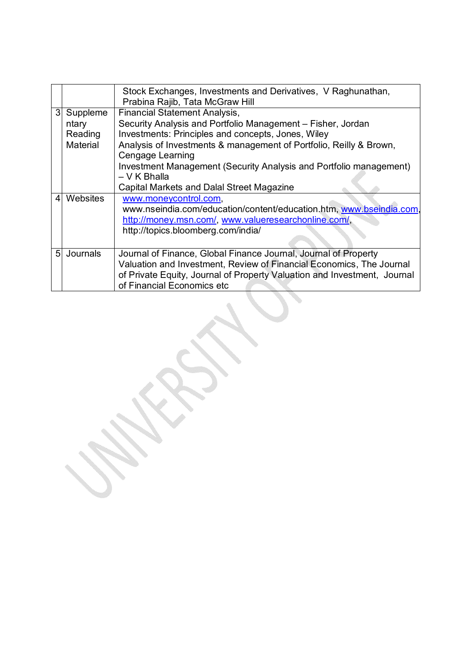|                         |                                          | Stock Exchanges, Investments and Derivatives, V Raghunathan,<br>Prabina Rajib, Tata McGraw Hill                                                                                                                                                                                                                           |
|-------------------------|------------------------------------------|---------------------------------------------------------------------------------------------------------------------------------------------------------------------------------------------------------------------------------------------------------------------------------------------------------------------------|
| $\mathbf{3}$            | Suppleme<br>ntary<br>Reading<br>Material | <b>Financial Statement Analysis,</b><br>Security Analysis and Portfolio Management - Fisher, Jordan<br>Investments: Principles and concepts, Jones, Wiley<br>Analysis of Investments & management of Portfolio, Reilly & Brown,<br>Cengage Learning<br>Investment Management (Security Analysis and Portfolio management) |
|                         |                                          | - V K Bhalla<br><b>Capital Markets and Dalal Street Magazine</b>                                                                                                                                                                                                                                                          |
| $\overline{\mathbf{A}}$ | Websites                                 | www.moneycontrol.com,<br>www.nseindia.com/education/content/education.htm, www.bseindia.com,<br>http://money.msn.com/, www.valueresearchonline.com/,<br>http://topics.bloomberg.com/india/                                                                                                                                |
| 5 <sup>1</sup>          | Journals                                 | Journal of Finance, Global Finance Journal, Journal of Property<br>Valuation and Investment, Review of Financial Economics, The Journal<br>of Private Equity, Journal of Property Valuation and Investment, Journal<br>of Financial Economics etc                                                                         |

 $\mathcal{L}$ 

 $\lambda$ 

4

W.

**SERVICE** 

**Contract Contract Contract Contract Contract Contract Contract Contract** 

**SSS** 

en de la construcción de la construcción de la construcción de la construcción de la construcción de la construcción de la construcción de la construcción de la construcción de la construcción de la construcción de la cons

 $\mathcal{L}_{\mathcal{D}}$ 

 $\leq$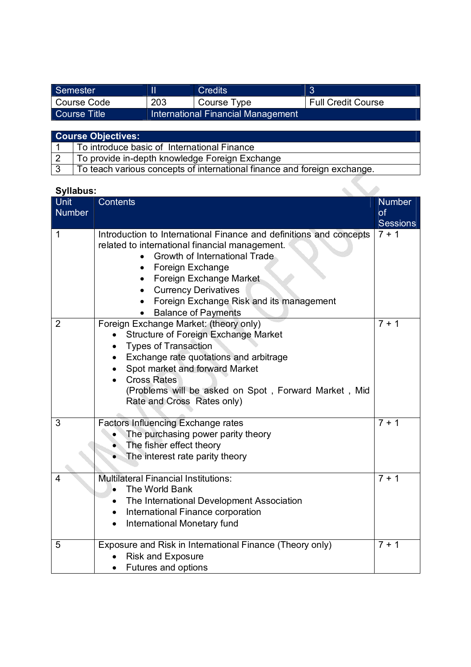| Semester     |     | Credits                            |                           |
|--------------|-----|------------------------------------|---------------------------|
| Course Code  | 203 | Course Type                        | <b>Full Credit Course</b> |
| Course Title |     | International Financial Management |                           |

| <b>Course Objectives:</b> |                                                                          |  |
|---------------------------|--------------------------------------------------------------------------|--|
|                           | To introduce basic of International Finance                              |  |
|                           | To provide in-depth knowledge Foreign Exchange                           |  |
|                           | To teach various concepts of international finance and foreign exchange. |  |

| <b>Syllabus:</b>      |                                                                                                                                                                                                                                                                                                               |                                               |
|-----------------------|---------------------------------------------------------------------------------------------------------------------------------------------------------------------------------------------------------------------------------------------------------------------------------------------------------------|-----------------------------------------------|
| Unit<br><b>Number</b> | <b>Contents</b>                                                                                                                                                                                                                                                                                               | <b>Number</b><br><b>of</b><br><b>Sessions</b> |
| 1                     | Introduction to International Finance and definitions and concepts<br>related to international financial management.<br>Growth of International Trade<br>Foreign Exchange<br>Foreign Exchange Market<br><b>Currency Derivatives</b><br>Foreign Exchange Risk and its management<br><b>Balance of Payments</b> | $7 + 1$                                       |
| $\overline{2}$        | Foreign Exchange Market: (theory only)<br><b>Structure of Foreign Exchange Market</b><br><b>Types of Transaction</b><br>Exchange rate quotations and arbitrage<br>Spot market and forward Market<br><b>Cross Rates</b><br>(Problems will be asked on Spot, Forward Market, Mid<br>Rate and Cross Rates only)  | $7 + 1$                                       |
| 3                     | <b>Factors Influencing Exchange rates</b><br>The purchasing power parity theory<br>The fisher effect theory<br>The interest rate parity theory                                                                                                                                                                | $7 + 1$                                       |
| 4                     | <b>Multilateral Financial Institutions:</b><br>The World Bank<br>The International Development Association<br>International Finance corporation<br>International Monetary fund                                                                                                                                | $7 + 1$                                       |
| 5                     | Exposure and Risk in International Finance (Theory only)<br><b>Risk and Exposure</b><br>Futures and options                                                                                                                                                                                                   | $7 + 1$                                       |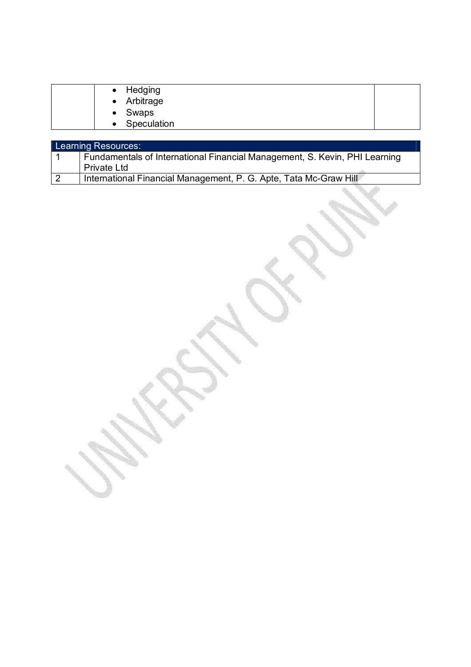| • Swaps | • Arbitrage<br>• Speculation |
|---------|------------------------------|
|---------|------------------------------|

|                | Learning Resources:                                                        |
|----------------|----------------------------------------------------------------------------|
|                | Fundamentals of International Financial Management, S. Kevin, PHI Learning |
|                | <b>Private Ltd</b>                                                         |
| $\overline{2}$ | International Financial Management, P. G. Apte, Tata Mc-Graw Hill          |

on de la construcción

OS CONTROLL

**SSS SERVICE** 

**I** 

**Service** 

**Contract Contract Contract Contract Contract Contract Contract Contract Contract Contract Contract Contract C** 

on Corporation

 $\overline{\mathscr{S}}$ 

e de la comparación de la comparación de la comparación de la comparación de la comparación de la comparación de<br>La comparación de la comparación de la comparación de la comparación de la comparación de la comparación de l

g (beredaria).<br>Tanzania (beredaria).<br>Tanzania (beredaria).

**Service Service**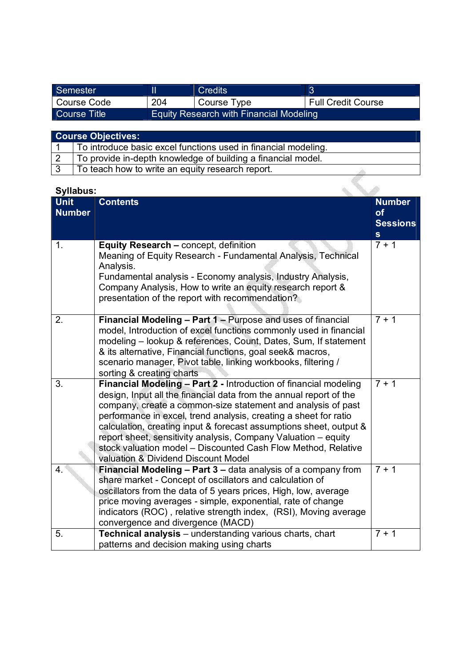| Semester     |     | <b>Credits</b>                                 |                    |
|--------------|-----|------------------------------------------------|--------------------|
| Course Code  | 204 | Course Type                                    | Full Credit Course |
| Course Title |     | <b>Equity Research with Financial Modeling</b> |                    |

| <b>Course Objectives:</b> |
|---------------------------|
|                           |

| To introduce basic excel functions used in financial modeling. |
|----------------------------------------------------------------|
| To provide in-depth knowledge of building a financial model.   |
| To teach how to write an equity research report.               |

| <b>Syllabus:</b>             |                                                                                                                                                                                                                                                                                                                                                                                                                                                                                                                            |                                                        |  |  |
|------------------------------|----------------------------------------------------------------------------------------------------------------------------------------------------------------------------------------------------------------------------------------------------------------------------------------------------------------------------------------------------------------------------------------------------------------------------------------------------------------------------------------------------------------------------|--------------------------------------------------------|--|--|
| <b>Unit</b><br><b>Number</b> | <b>Contents</b>                                                                                                                                                                                                                                                                                                                                                                                                                                                                                                            | <b>Number</b><br>of<br><b>Sessions</b><br>$\mathbf{s}$ |  |  |
| 1.                           | Equity Research - concept, definition<br>Meaning of Equity Research - Fundamental Analysis, Technical<br>Analysis.<br>Fundamental analysis - Economy analysis, Industry Analysis,<br>Company Analysis, How to write an equity research report &<br>presentation of the report with recommendation?                                                                                                                                                                                                                         | $7 + 1$                                                |  |  |
| 2.                           | Financial Modeling - Part 1 - Purpose and uses of financial<br>model, Introduction of excel functions commonly used in financial<br>modeling - lookup & references, Count, Dates, Sum, If statement<br>& its alternative, Financial functions, goal seek& macros,<br>scenario manager, Pivot table, linking workbooks, filtering /<br>sorting & creating charts                                                                                                                                                            | $7 + 1$                                                |  |  |
| 3.                           | Financial Modeling - Part 2 - Introduction of financial modeling<br>design, Input all the financial data from the annual report of the<br>company, create a common-size statement and analysis of past<br>performance in excel, trend analysis, creating a sheet for ratio<br>calculation, creating input & forecast assumptions sheet, output &<br>report sheet, sensitivity analysis, Company Valuation - equity<br>stock valuation model - Discounted Cash Flow Method, Relative<br>valuation & Dividend Discount Model | $7 + 1$                                                |  |  |
| 4.                           | Financial Modeling - Part 3 - data analysis of a company from<br>share market - Concept of oscillators and calculation of<br>oscillators from the data of 5 years prices, High, low, average<br>price moving averages - simple, exponential, rate of change<br>indicators (ROC), relative strength index, (RSI), Moving average<br>convergence and divergence (MACD)                                                                                                                                                       | $\frac{1}{7} + 1$                                      |  |  |
| 5.                           | Technical analysis - understanding various charts, chart<br>patterns and decision making using charts                                                                                                                                                                                                                                                                                                                                                                                                                      | $7 + 1$                                                |  |  |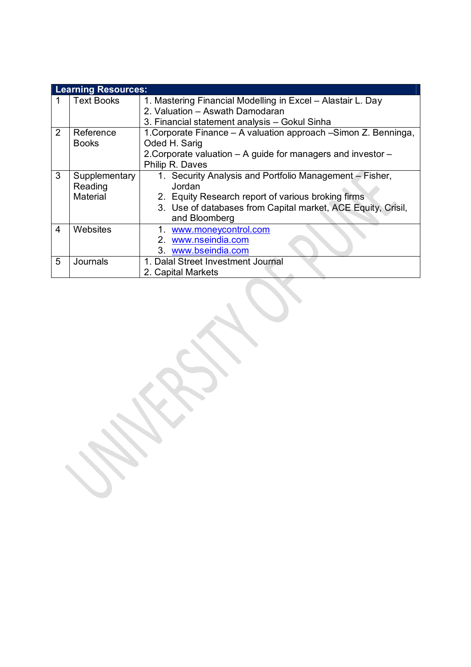| <b>Learning Resources:</b> |                   |                                                                  |  |  |  |  |  |
|----------------------------|-------------------|------------------------------------------------------------------|--|--|--|--|--|
|                            | <b>Text Books</b> | 1. Mastering Financial Modelling in Excel - Alastair L. Day      |  |  |  |  |  |
|                            |                   | 2. Valuation - Aswath Damodaran                                  |  |  |  |  |  |
|                            |                   | 3. Financial statement analysis - Gokul Sinha                    |  |  |  |  |  |
| $\overline{2}$             | Reference         | 1. Corporate Finance - A valuation approach - Simon Z. Benninga, |  |  |  |  |  |
|                            | <b>Books</b>      | Oded H. Sarig                                                    |  |  |  |  |  |
|                            |                   | 2. Corporate valuation - A guide for managers and investor -     |  |  |  |  |  |
|                            |                   | Philip R. Daves                                                  |  |  |  |  |  |
| 3                          | Supplementary     | 1. Security Analysis and Portfolio Management – Fisher,          |  |  |  |  |  |
|                            | Reading           | Jordan                                                           |  |  |  |  |  |
|                            | Material          | 2. Equity Research report of various broking firms               |  |  |  |  |  |
|                            |                   | 3. Use of databases from Capital market, ACE Equity, Crisil,     |  |  |  |  |  |
|                            |                   | and Bloomberg                                                    |  |  |  |  |  |
| 4                          | Websites          | www.moneycontrol.com                                             |  |  |  |  |  |
|                            |                   | 2. www.nseindia.com                                              |  |  |  |  |  |
|                            |                   | 3. www.bseindia.com                                              |  |  |  |  |  |
| 5                          | Journals          | 1. Dalal Street Investment Journal                               |  |  |  |  |  |
|                            |                   | 2. Capital Markets                                               |  |  |  |  |  |

**SSS**  $\mathcal{L}$ 

 $\leqslant$ 

W.

**SSS SERVICE SSS Contract Contract Contract Contract Contract Contract Contract Contract Contract Contract Contract Contract C** 

**SERVICE**